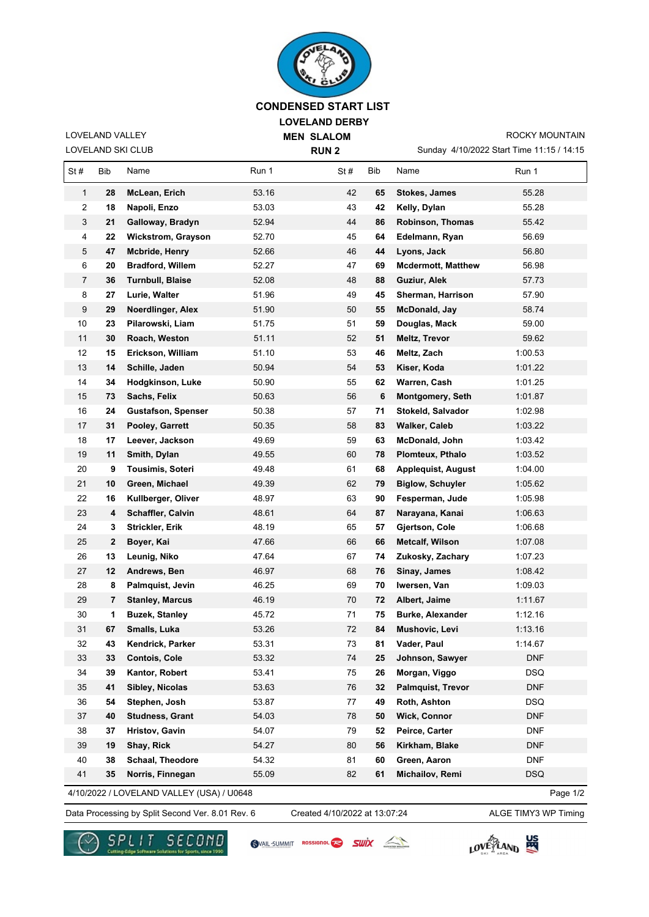

## **LOVELAND DERBY MEN SLALOM CONDENSED START LIST**

Sunday 4/10/2022 Start Time 11:15 / 14:15 ROCKY MOUNTAIN

LOVELAND SKI CLUB LOVELAND VALLEY

**RUN 2**

St # Bib Name **Run 1** St # Bib Name Run 1 **28 McLean, Erich** 53.16 42 **65 Stokes, James** 55.28 **18 Napoli, Enzo** 53.03 43 **42 Kelly, Dylan** 55.28 **21 Galloway, Bradyn** 52.94 44 **86 Robinson, Thomas** 55.42 **22 Wickstrom, Grayson** 52.70 45 **64 Edelmann, Ryan** 56.69 **47 Mcbride, Henry** 52.66 46 **44 Lyons, Jack** 56.80 **20 Bradford, Willem** 52.27 47 **69 Mcdermott, Matthew** 56.98 **36 Turnbull, Blaise** 52.08 48 **88 Guziur, Alek** 57.73 **27 Lurie, Walter** 51.96 49 **45 Sherman, Harrison** 57.90 **29 Noerdlinger, Alex** 51.90 50 **55 McDonald, Jay** 58.74 **23 Pilarowski, Liam** 51.75 51 **59 Douglas, Mack** 59.00 **30 Roach, Weston** 51.11 52 **51 Meltz, Trevor** 59.62 **15 Erickson, William** 51.10 53 **46 Meltz, Zach** 1:00.53 **14 Schille, Jaden** 50.94 54 **53 Kiser, Koda** 1:01.22 **34 Hodgkinson, Luke** 50.90 55 **62 Warren, Cash** 1:01.25 **73 Sachs, Felix** 50.63 56 **6 Montgomery, Seth** 1:01.87 **24 Gustafson, Spenser** 50.38 57 **71 Stokeld, Salvador** 1:02.98 **31 Pooley, Garrett** 50.35 58 **83 Walker, Caleb** 1:03.22 **17 Leever, Jackson** 49.69 59 **63 McDonald, John** 1:03.42 **11 Smith, Dylan** 49.55 60 **78 Plomteux, Pthalo** 1:03.52 **9 Tousimis, Soteri** 49.48 61 **68 Applequist, August** 1:04.00 **10 Green, Michael** 49.39 62 **79 Biglow, Schuyler** 1:05.62 **16 Kullberger, Oliver** 48.97 63 **90 Fesperman, Jude** 1:05.98 **4 Schaffler, Calvin** 48.61 64 **87 Narayana, Kanai** 1:06.63 **3 Strickler, Erik** 48.19 65 **57 Gjertson, Cole** 1:06.68 **2 Boyer, Kai** 47.66 66 **66 Metcalf, Wilson** 1:07.08 **13 Leunig, Niko** 47.64 67 **74 Zukosky, Zachary** 1:07.23 **12 Andrews, Ben** 46.97 68 **76 Sinay, James** 1:08.42 **8 Palmquist, Jevin** 46.25 69 **70 Iwersen, Van** 1:09.03 **7 Stanley, Marcus** 46.19 70 **72 Albert, Jaime** 1:11.67 **1 Buzek, Stanley** 45.72 71 **75 Burke, Alexander** 1:12.16 **67 Smalls, Luka** 53.26 72 **84 Mushovic, Levi** 1:13.16 **43 Kendrick, Parker** 53.31 73 **81 Vader, Paul** 1:14.67 **33 Contois, Cole** 53.32 74 **25 Johnson, Sawyer** DNF **39 Kantor, Robert** 53.41 75 **26 Morgan, Viggo** DSQ **41 Sibley, Nicolas** 53.63 76 **32 Palmquist, Trevor** DNF **54 Stephen, Josh** 53.87 77 **49 Roth, Ashton** DSQ **40 Studness, Grant** 54.03 78 **50 Wick, Connor** DNF **37 Hristov, Gavin** 54.07 79 **52 Peirce, Carter** DNF **19 Shay, Rick** 54.27 80 **56 Kirkham, Blake** DNF **38 Schaal, Theodore** 54.32 81 **60 Green, Aaron** DNF **35 Norris, Finnegan** 55.09 82 **61 Michailov, Remi** DSQ

4/10/2022 / LOVELAND VALLEY (USA) / U0648

Data Processing by Split Second Ver. 8.01 Rev. 6 Created 4/10/2022 at 13:07:24 ALGE TIMY3 WP Timing Created 4/10/2022 at 13:07:24

VAIL-SUMMIT ROSSIGNOL

Page 1/2



A

SWİX